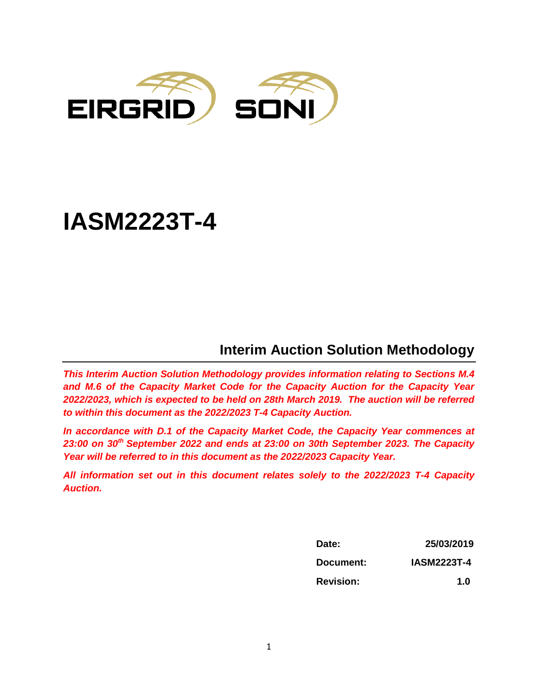

# **IASM2223T-4**

# **Interim Auction Solution Methodology**

*This Interim Auction Solution Methodology provides information relating to Sections M.4 and M.6 of the Capacity Market Code for the Capacity Auction for the Capacity Year 2022/2023, which is expected to be held on 28th March 2019. The auction will be referred to within this document as the 2022/2023 T-4 Capacity Auction.* 

*In accordance with D.1 of the Capacity Market Code, the Capacity Year commences at 23:00 on 30th September 2022 and ends at 23:00 on 30th September 2023. The Capacity Year will be referred to in this document as the 2022/2023 Capacity Year.*

*All information set out in this document relates solely to the 2022/2023 T-4 Capacity Auction.* 

| Date:            | 25/03/2019         |  |
|------------------|--------------------|--|
| Document:        | <b>IASM2223T-4</b> |  |
| <b>Revision:</b> | 1.0                |  |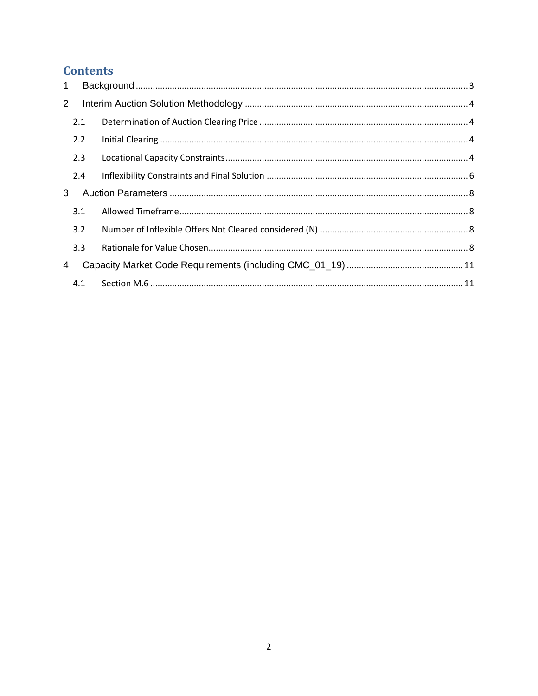# **Contents**

| $\mathbf{1}$   |     |  |
|----------------|-----|--|
| $\overline{2}$ |     |  |
|                | 2.1 |  |
|                | 2.2 |  |
|                | 2.3 |  |
|                | 2.4 |  |
| 3              |     |  |
|                | 3.1 |  |
|                | 3.2 |  |
|                | 3.3 |  |
| 4              |     |  |
|                | 4.1 |  |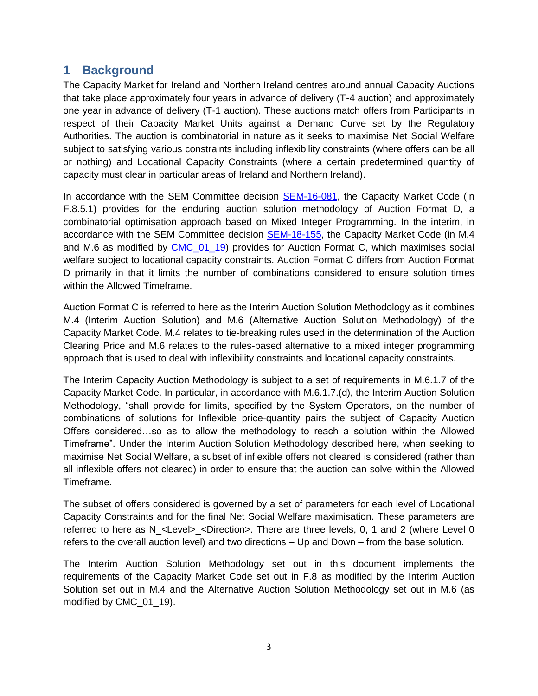#### <span id="page-2-0"></span>**1 Background**

The Capacity Market for Ireland and Northern Ireland centres around annual Capacity Auctions that take place approximately four years in advance of delivery (T-4 auction) and approximately one year in advance of delivery (T-1 auction). These auctions match offers from Participants in respect of their Capacity Market Units against a Demand Curve set by the Regulatory Authorities. The auction is combinatorial in nature as it seeks to maximise Net Social Welfare subject to satisfying various constraints including inflexibility constraints (where offers can be all or nothing) and Locational Capacity Constraints (where a certain predetermined quantity of capacity must clear in particular areas of Ireland and Northern Ireland).

In accordance with the SEM Committee decision [SEM-16-081,](https://www.semcommittee.com/sites/semcommittee.com/files/media-files/SEM-16-081%20CRM%20Locational%20Issues%20Decision%20Paper.pdf) the Capacity Market Code (in F.8.5.1) provides for the enduring auction solution methodology of Auction Format D, a combinatorial optimisation approach based on Mixed Integer Programming. In the interim, in accordance with the SEM Committee decision [SEM-18-1](https://www.semcommittee.com/sites/semcommittee.com/files/media-files/SEM-16-081%20CRM%20Locational%20Issues%20Decision%20Paper.pdf)55, the Capacity Market Code (in M.4 and M.6 as modified by CMC 01 19) provides for Auction Format C, which maximises social welfare subject to locational capacity constraints. Auction Format C differs from Auction Format D primarily in that it limits the number of combinations considered to ensure solution times within the Allowed Timeframe.

Auction Format C is referred to here as the Interim Auction Solution Methodology as it combines M.4 (Interim Auction Solution) and M.6 (Alternative Auction Solution Methodology) of the Capacity Market Code. M.4 relates to tie-breaking rules used in the determination of the Auction Clearing Price and M.6 relates to the rules-based alternative to a mixed integer programming approach that is used to deal with inflexibility constraints and locational capacity constraints.

The Interim Capacity Auction Methodology is subject to a set of requirements in M.6.1.7 of the Capacity Market Code. In particular, in accordance with M.6.1.7.(d), the Interim Auction Solution Methodology, "shall provide for limits, specified by the System Operators, on the number of combinations of solutions for Inflexible price-quantity pairs the subject of Capacity Auction Offers considered…so as to allow the methodology to reach a solution within the Allowed Timeframe". Under the Interim Auction Solution Methodology described here, when seeking to maximise Net Social Welfare, a subset of inflexible offers not cleared is considered (rather than all inflexible offers not cleared) in order to ensure that the auction can solve within the Allowed Timeframe.

The subset of offers considered is governed by a set of parameters for each level of Locational Capacity Constraints and for the final Net Social Welfare maximisation. These parameters are referred to here as N\_<Level>\_<Direction>. There are three levels, 0, 1 and 2 (where Level 0 refers to the overall auction level) and two directions – Up and Down – from the base solution.

The Interim Auction Solution Methodology set out in this document implements the requirements of the Capacity Market Code set out in F.8 as modified by the Interim Auction Solution set out in M.4 and the Alternative Auction Solution Methodology set out in M.6 (as modified by CMC\_01\_19).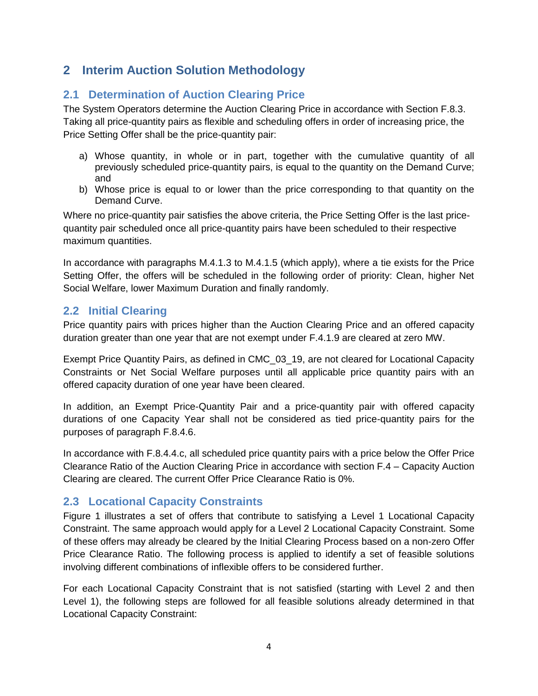## <span id="page-3-0"></span>**2 Interim Auction Solution Methodology**

### <span id="page-3-1"></span>**2.1 Determination of Auction Clearing Price**

The System Operators determine the Auction Clearing Price in accordance with Section F.8.3. Taking all price-quantity pairs as flexible and scheduling offers in order of increasing price, the Price Setting Offer shall be the price-quantity pair:

- a) Whose quantity, in whole or in part, together with the cumulative quantity of all previously scheduled price-quantity pairs, is equal to the quantity on the Demand Curve; and
- b) Whose price is equal to or lower than the price corresponding to that quantity on the Demand Curve.

Where no price-quantity pair satisfies the above criteria, the Price Setting Offer is the last pricequantity pair scheduled once all price-quantity pairs have been scheduled to their respective maximum quantities.

In accordance with paragraphs M.4.1.3 to M.4.1.5 (which apply), where a tie exists for the Price Setting Offer, the offers will be scheduled in the following order of priority: Clean, higher Net Social Welfare, lower Maximum Duration and finally randomly.

#### <span id="page-3-2"></span>**2.2 Initial Clearing**

Price quantity pairs with prices higher than the Auction Clearing Price and an offered capacity duration greater than one year that are not exempt under F.4.1.9 are cleared at zero MW.

Exempt Price Quantity Pairs, as defined in CMC\_03\_19, are not cleared for Locational Capacity Constraints or Net Social Welfare purposes until all applicable price quantity pairs with an offered capacity duration of one year have been cleared.

In addition, an Exempt Price-Quantity Pair and a price-quantity pair with offered capacity durations of one Capacity Year shall not be considered as tied price-quantity pairs for the purposes of paragraph F.8.4.6.

In accordance with F.8.4.4.c, all scheduled price quantity pairs with a price below the Offer Price Clearance Ratio of the Auction Clearing Price in accordance with section F.4 – Capacity Auction Clearing are cleared. The current Offer Price Clearance Ratio is 0%.

#### <span id="page-3-3"></span>**2.3 Locational Capacity Constraints**

[Figure 1](#page-4-0) illustrates a set of offers that contribute to satisfying a Level 1 Locational Capacity Constraint. The same approach would apply for a Level 2 Locational Capacity Constraint. Some of these offers may already be cleared by the Initial Clearing Process based on a non-zero Offer Price Clearance Ratio. The following process is applied to identify a set of feasible solutions involving different combinations of inflexible offers to be considered further.

For each Locational Capacity Constraint that is not satisfied (starting with Level 2 and then Level 1), the following steps are followed for all feasible solutions already determined in that Locational Capacity Constraint: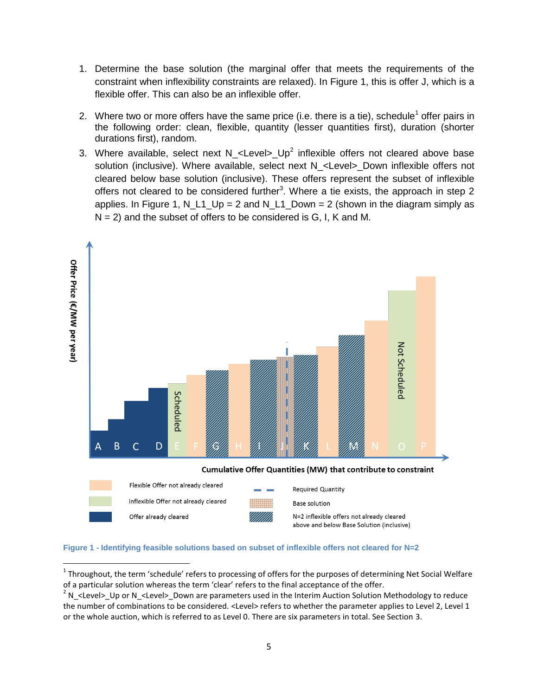- 1. Determine the base solution (the marginal offer that meets the requirements of the constraint when inflexibility constraints are relaxed). In [Figure 1,](#page-4-0) this is offer J, which is a flexible offer. This can also be an inflexible offer.
- 2. Where two or more offers have the same price (i.e. there is a tie), schedule<sup>1</sup> offer pairs in the following order: clean, flexible, quantity (lesser quantities first), duration (shorter durations first), random.
- 3. Where available, select next N\_<Level>\_Up<sup>2</sup> inflexible offers not cleared above base solution (inclusive). Where available, select next N <Level> Down inflexible offers not cleared below base solution (inclusive). These offers represent the subset of inflexible offers not cleared to be considered further<sup>3</sup>. Where a tie exists, the approach in step 2 applies. In [Figure 1,](#page-4-0) N\_L1\_Up = 2 and N\_L1\_Down = 2 (shown in the diagram simply as  $N = 2$ ) and the subset of offers to be considered is G, I, K and M.



#### <span id="page-4-0"></span>**Figure 1 - Identifying feasible solutions based on subset of inflexible offers not cleared for N=2**

 $\overline{a}$ 

 $1$  Throughout, the term 'schedule' refers to processing of offers for the purposes of determining Net Social Welfare of a particular solution whereas the term 'clear' refers to the final acceptance of the offer.

 $2$  N\_<Level>\_Up or N\_<Level>\_Down are parameters used in the Interim Auction Solution Methodology to reduce the number of combinations to be considered. <Level> refers to whether the parameter applies to Level 2, Level 1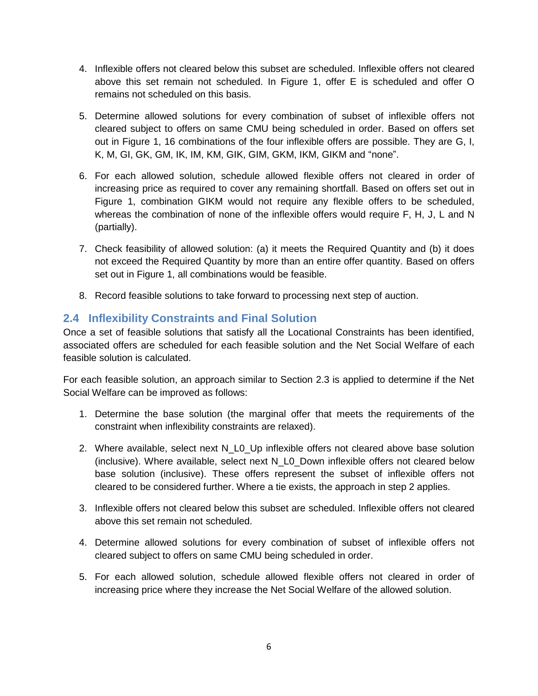- 4. Inflexible offers not cleared below this subset are scheduled. Inflexible offers not cleared above this set remain not scheduled. In [Figure 1,](#page-4-0) offer E is scheduled and offer O remains not scheduled on this basis.
- 5. Determine allowed solutions for every combination of subset of inflexible offers not cleared subject to offers on same CMU being scheduled in order. Based on offers set out in [Figure 1,](#page-4-0) 16 combinations of the four inflexible offers are possible. They are G, I, K, M, GI, GK, GM, IK, IM, KM, GIK, GIM, GKM, IKM, GIKM and "none".
- 6. For each allowed solution, schedule allowed flexible offers not cleared in order of increasing price as required to cover any remaining shortfall. Based on offers set out in [Figure 1,](#page-4-0) combination GIKM would not require any flexible offers to be scheduled, whereas the combination of none of the inflexible offers would require F, H, J, L and N (partially).
- 7. Check feasibility of allowed solution: (a) it meets the Required Quantity and (b) it does not exceed the Required Quantity by more than an entire offer quantity. Based on offers set out in [Figure 1,](#page-4-0) all combinations would be feasible.
- 8. Record feasible solutions to take forward to processing next step of auction.

#### <span id="page-5-0"></span>**2.4 Inflexibility Constraints and Final Solution**

Once a set of feasible solutions that satisfy all the Locational Constraints has been identified, associated offers are scheduled for each feasible solution and the Net Social Welfare of each feasible solution is calculated.

For each feasible solution, an approach similar to Section [2.3](#page-3-3) is applied to determine if the Net Social Welfare can be improved as follows:

- 1. Determine the base solution (the marginal offer that meets the requirements of the constraint when inflexibility constraints are relaxed).
- 2. Where available, select next N\_L0\_Up inflexible offers not cleared above base solution (inclusive). Where available, select next N\_L0\_Down inflexible offers not cleared below base solution (inclusive). These offers represent the subset of inflexible offers not cleared to be considered further. Where a tie exists, the approach in step 2 applies.
- 3. Inflexible offers not cleared below this subset are scheduled. Inflexible offers not cleared above this set remain not scheduled.
- 4. Determine allowed solutions for every combination of subset of inflexible offers not cleared subject to offers on same CMU being scheduled in order.
- 5. For each allowed solution, schedule allowed flexible offers not cleared in order of increasing price where they increase the Net Social Welfare of the allowed solution.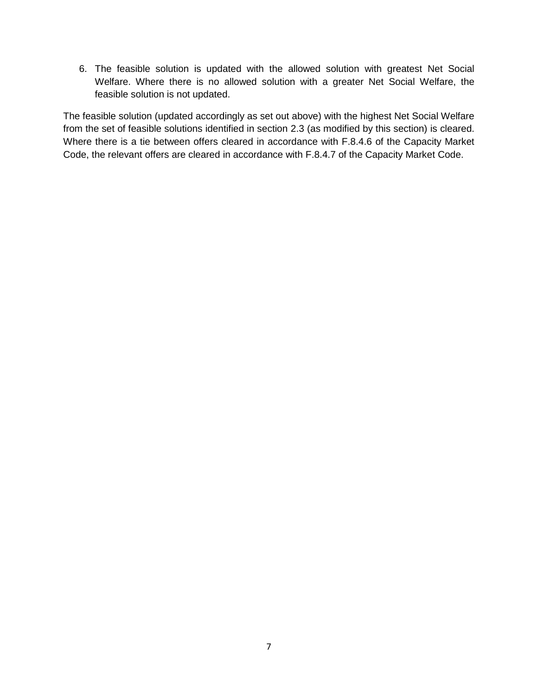6. The feasible solution is updated with the allowed solution with greatest Net Social Welfare. Where there is no allowed solution with a greater Net Social Welfare, the feasible solution is not updated.

The feasible solution (updated accordingly as set out above) with the highest Net Social Welfare from the set of feasible solutions identified in section [2.3](#page-3-3) (as modified by this section) is cleared. Where there is a tie between offers cleared in accordance with F.8.4.6 of the Capacity Market Code, the relevant offers are cleared in accordance with F.8.4.7 of the Capacity Market Code.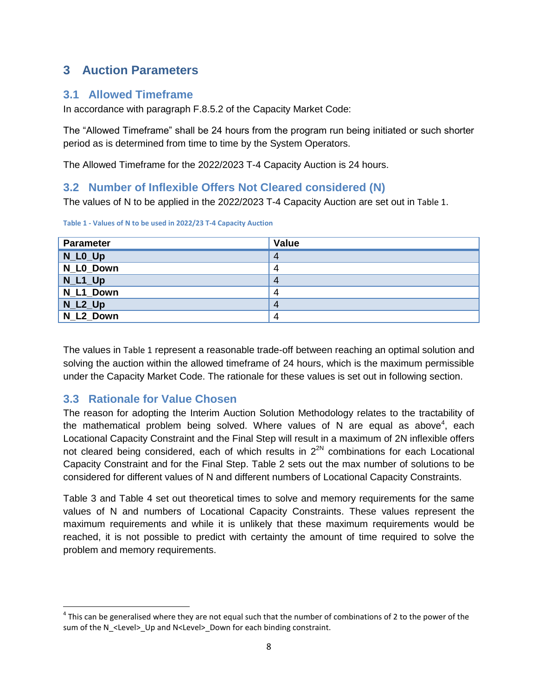## <span id="page-7-0"></span>**3 Auction Parameters**

#### <span id="page-7-1"></span>**3.1 Allowed Timeframe**

In accordance with paragraph F.8.5.2 of the Capacity Market Code:

The "Allowed Timeframe" shall be 24 hours from the program run being initiated or such shorter period as is determined from time to time by the System Operators.

The Allowed Timeframe for the 2022/2023 T-4 Capacity Auction is 24 hours.

#### <span id="page-7-2"></span>**3.2 Number of Inflexible Offers Not Cleared considered (N)**

The values of N to be applied in the 2022/2023 T-4 Capacity Auction are set out in [Table 1](#page-7-4).

| <b>Parameter</b> | <b>Value</b> |
|------------------|--------------|
| $N_L$ LO $_U$ Up | 4            |
| N L0 Down        | 4            |
| $N_L1_U$         | 4            |
| N_L1_Down        | 4            |
| $N_L2_Up$        | 4            |
| N L2 Down        | 4            |

<span id="page-7-4"></span>**Table 1 - Values of N to be used in 2022/23 T-4 Capacity Auction**

The values in [Table 1](#page-7-4) represent a reasonable trade-off between reaching an optimal solution and solving the auction within the allowed timeframe of 24 hours, which is the maximum permissible under the Capacity Market Code. The rationale for these values is set out in following section.

#### <span id="page-7-3"></span>**3.3 Rationale for Value Chosen**

The reason for adopting the Interim Auction Solution Methodology relates to the tractability of the mathematical problem being solved. Where values of N are equal as above<sup>4</sup>, each Locational Capacity Constraint and the Final Step will result in a maximum of 2N inflexible offers not cleared being considered, each of which results in  $2^{2N}$  combinations for each Locational Capacity Constraint and for the Final Step. [Table 2](#page-8-0) sets out the max number of solutions to be considered for different values of N and different numbers of Locational Capacity Constraints.

[Table 3](#page-8-1) and [Table 4](#page-8-2) set out theoretical times to solve and memory requirements for the same values of N and numbers of Locational Capacity Constraints. These values represent the maximum requirements and while it is unlikely that these maximum requirements would be reached, it is not possible to predict with certainty the amount of time required to solve the problem and memory requirements.

l  $^4$  This can be generalised where they are not equal such that the number of combinations of 2 to the power of the sum of the N <Level> Up and N<Level> Down for each binding constraint.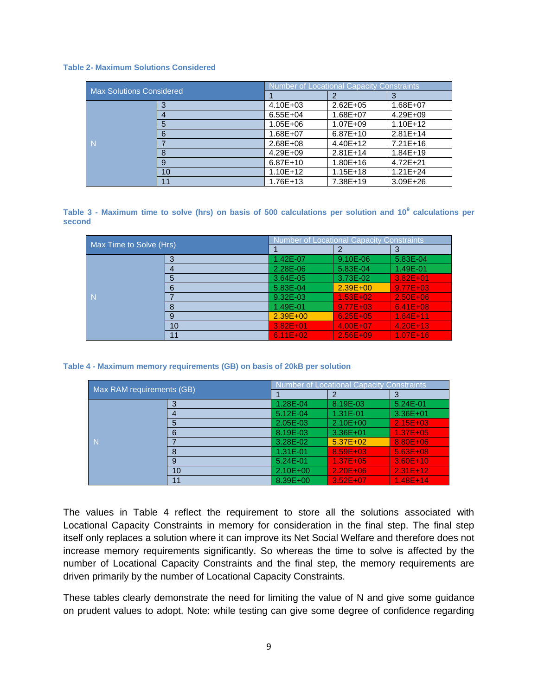#### <span id="page-8-0"></span>**Table 2- Maximum Solutions Considered**

| <b>Max Solutions Considered</b> |    | <b>Number of Locational Capacity Constraints</b> |              |              |
|---------------------------------|----|--------------------------------------------------|--------------|--------------|
|                                 |    |                                                  |              |              |
|                                 |    | $4.10E + 03$                                     | $2.62E + 05$ | 1.68E+07     |
|                                 |    | $6.55E + 04$                                     | 1.68E+07     | 4.29E+09     |
| N                               | 5  | $1.05E + 06$                                     | 1.07E+09     | $1.10E + 12$ |
|                                 | 6  | 1.68E+07                                         | $6.87E+10$   | $2.81E+14$   |
|                                 |    | 2.68E+08                                         | 4.40E+12     | $7.21E+16$   |
|                                 | 8  | $4.29E + 09$                                     | $2.81E+14$   | $1.84E+19$   |
|                                 | 9  | $6.87E+10$                                       | $1.80E + 16$ | $4.72E + 21$ |
|                                 | 10 | $1.10E + 12$                                     | $1.15E + 18$ | $1.21E + 24$ |
|                                 | 11 | 1.76E+13                                         | 7.38E+19     | $3.09E + 26$ |

<span id="page-8-1"></span>**Table 3 - Maximum time to solve (hrs) on basis of 500 calculations per solution and 10<sup>9</sup> calculations per second**

| Max Time to Solve (Hrs) |    | <b>Number of Locational Capacity Constraints</b> |               |              |
|-------------------------|----|--------------------------------------------------|---------------|--------------|
|                         |    |                                                  |               |              |
|                         | 3  | 1.42E-07                                         | 9.10E-06      | 5.83E-04     |
|                         |    | 2.28E-06                                         | 5.83E-04      | 1.49E-01     |
|                         | 5  | 3.64E-05                                         | 3.73E-02      | $3.82E + 01$ |
|                         | 6  | 5.83E-04                                         | $2.39E + 00$  | $9.77E + 03$ |
| N<br>8                  |    | 9.32E-03                                         | $1.53E + 02.$ | $2.50E + 06$ |
|                         |    | 1.49E-01                                         | $9.77E + 03$  | $6.41E + 08$ |
|                         | 9  | $2.39E + 00$                                     | $6.25E + 05$  | $1.64E+11$   |
|                         | 10 | $3.82E + 01$                                     | $4.00E + 07$  | $4.20E + 13$ |
|                         | 11 | $6.11E + 02$                                     | $2.56E + 09$  | $1.07E + 16$ |

<span id="page-8-2"></span>**Table 4 - Maximum memory requirements (GB) on basis of 20kB per solution**

| Max RAM requirements (GB) |    | <b>Number of Locational Capacity Constraints</b> |              |              |
|---------------------------|----|--------------------------------------------------|--------------|--------------|
|                           |    |                                                  |              |              |
|                           |    | 1.28E-04                                         | 8.19E-03     | $5.24E - 01$ |
|                           |    | $5.12E - 04$                                     | 1.31E-01     | $3.36E + 01$ |
|                           | 5  | 2.05E-03                                         | $2.10E + 00$ | $2.15E + 03$ |
|                           | 6  | 8.19E-03                                         | $3.36E + 01$ | $1.37E + 05$ |
| N                         |    | 3.28E-02                                         | $5.37E + 02$ | 8.80E+06     |
|                           | 8  | 1.31E-01                                         | $8.59E + 03$ | $5.63E + 08$ |
|                           | 9  | 5.24E-01                                         | $1.37E + 05$ | $3.60E + 10$ |
|                           | 10 | $2.10E + 00$                                     | $2.20E + 06$ | $2.31E+12$   |
|                           | 11 | 8.39E+00                                         | $3.52F + 07$ | $1.48E+14$   |

The values in Table 4 reflect the requirement to store all the solutions associated with Locational Capacity Constraints in memory for consideration in the final step. The final step itself only replaces a solution where it can improve its Net Social Welfare and therefore does not increase memory requirements significantly. So whereas the time to solve is affected by the number of Locational Capacity Constraints and the final step, the memory requirements are driven primarily by the number of Locational Capacity Constraints.

These tables clearly demonstrate the need for limiting the value of N and give some guidance on prudent values to adopt. Note: while testing can give some degree of confidence regarding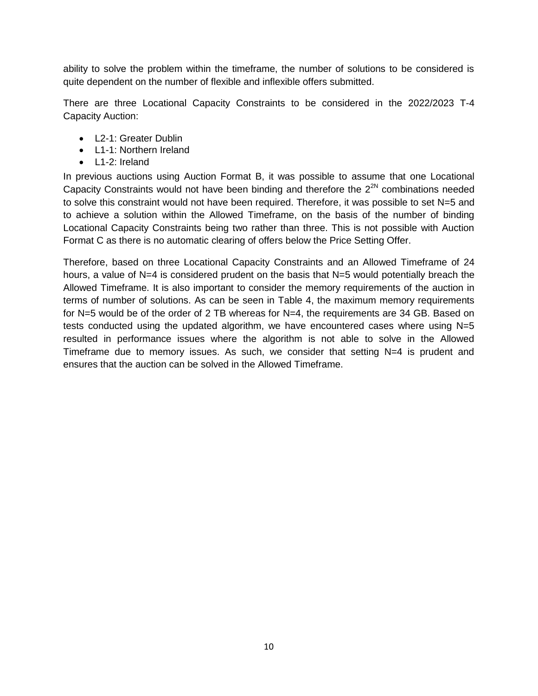ability to solve the problem within the timeframe, the number of solutions to be considered is quite dependent on the number of flexible and inflexible offers submitted.

There are three Locational Capacity Constraints to be considered in the 2022/2023 T-4 Capacity Auction:

- L2-1: Greater Dublin
- L1-1: Northern Ireland
- L1-2: Ireland

In previous auctions using Auction Format B, it was possible to assume that one Locational Capacity Constraints would not have been binding and therefore the  $2^{2N}$  combinations needed to solve this constraint would not have been required. Therefore, it was possible to set N=5 and to achieve a solution within the Allowed Timeframe, on the basis of the number of binding Locational Capacity Constraints being two rather than three. This is not possible with Auction Format C as there is no automatic clearing of offers below the Price Setting Offer.

Therefore, based on three Locational Capacity Constraints and an Allowed Timeframe of 24 hours, a value of N=4 is considered prudent on the basis that N=5 would potentially breach the Allowed Timeframe. It is also important to consider the memory requirements of the auction in terms of number of solutions. As can be seen in [Table 4,](#page-8-2) the maximum memory requirements for N=5 would be of the order of 2 TB whereas for N=4, the requirements are 34 GB. Based on tests conducted using the updated algorithm, we have encountered cases where using  $N=5$ resulted in performance issues where the algorithm is not able to solve in the Allowed Timeframe due to memory issues. As such, we consider that setting  $N=4$  is prudent and ensures that the auction can be solved in the Allowed Timeframe.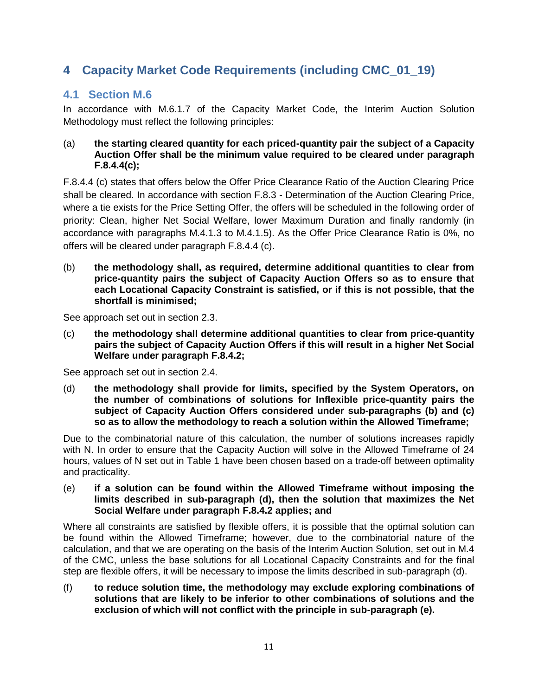## <span id="page-10-0"></span>**4 Capacity Market Code Requirements (including CMC\_01\_19)**

#### <span id="page-10-1"></span>**4.1 Section M.6**

In accordance with M.6.1.7 of the Capacity Market Code, the Interim Auction Solution Methodology must reflect the following principles:

#### (a) **the starting cleared quantity for each priced-quantity pair the subject of a Capacity Auction Offer shall be the minimum value required to be cleared under paragraph F.8.4.4(c);**

F.8.4.4 (c) states that offers below the Offer Price Clearance Ratio of the Auction Clearing Price shall be cleared. In accordance with section F.8.3 - Determination of the Auction Clearing Price, where a tie exists for the Price Setting Offer, the offers will be scheduled in the following order of priority: Clean, higher Net Social Welfare, lower Maximum Duration and finally randomly (in accordance with paragraphs M.4.1.3 to M.4.1.5). As the Offer Price Clearance Ratio is 0%, no offers will be cleared under paragraph F.8.4.4 (c).

(b) **the methodology shall, as required, determine additional quantities to clear from price-quantity pairs the subject of Capacity Auction Offers so as to ensure that each Locational Capacity Constraint is satisfied, or if this is not possible, that the shortfall is minimised;** 

See approach set out in section [2.3.](#page-3-3)

(c) **the methodology shall determine additional quantities to clear from price-quantity pairs the subject of Capacity Auction Offers if this will result in a higher Net Social Welfare under paragraph F.8.4.2;**

See approach set out in section [2.4.](#page-5-0)

(d) **the methodology shall provide for limits, specified by the System Operators, on the number of combinations of solutions for Inflexible price-quantity pairs the subject of Capacity Auction Offers considered under sub-paragraphs (b) and (c) so as to allow the methodology to reach a solution within the Allowed Timeframe;**

Due to the combinatorial nature of this calculation, the number of solutions increases rapidly with N. In order to ensure that the Capacity Auction will solve in the Allowed Timeframe of 24 hours, values of N set out in [Table 1](#page-7-4) have been chosen based on a trade-off between optimality and practicality.

(e) **if a solution can be found within the Allowed Timeframe without imposing the limits described in sub-paragraph (d), then the solution that maximizes the Net Social Welfare under paragraph F.8.4.2 applies; and**

Where all constraints are satisfied by flexible offers, it is possible that the optimal solution can be found within the Allowed Timeframe; however, due to the combinatorial nature of the calculation, and that we are operating on the basis of the Interim Auction Solution, set out in M.4 of the CMC, unless the base solutions for all Locational Capacity Constraints and for the final step are flexible offers, it will be necessary to impose the limits described in sub-paragraph (d).

(f) **to reduce solution time, the methodology may exclude exploring combinations of solutions that are likely to be inferior to other combinations of solutions and the exclusion of which will not conflict with the principle in sub-paragraph (e).**